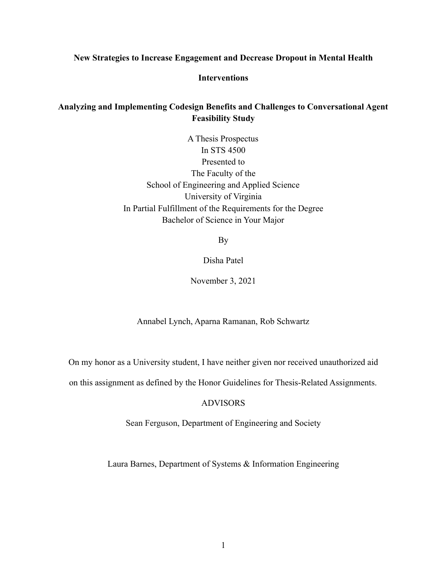### **New Strategies to Increase Engagement and Decrease Dropout in Mental Health**

# **Interventions**

# **Analyzing and Implementing Codesign Benefits and Challenges to Conversational Agent Feasibility Study**

A Thesis Prospectus In STS 4500 Presented to The Faculty of the School of Engineering and Applied Science University of Virginia In Partial Fulfillment of the Requirements for the Degree Bachelor of Science in Your Major

By

# Disha Patel

### November 3, 2021

Annabel Lynch, Aparna Ramanan, Rob Schwartz

On my honor as a University student, I have neither given nor received unauthorized aid

on this assignment as defined by the Honor Guidelines for Thesis-Related Assignments.

# ADVISORS

Sean Ferguson, Department of Engineering and Society

Laura Barnes, Department of Systems & Information Engineering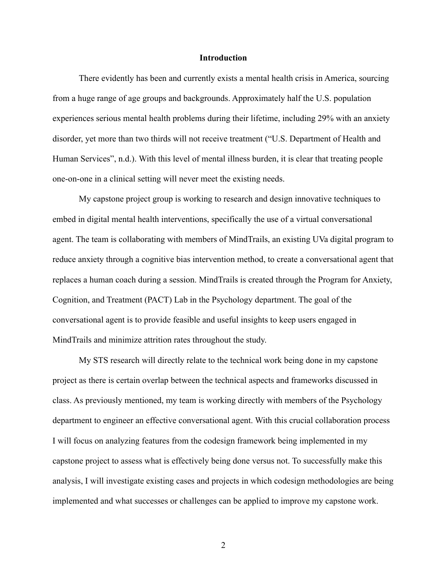#### **Introduction**

There evidently has been and currently exists a mental health crisis in America, sourcing from a huge range of age groups and backgrounds. Approximately half the U.S. population experiences serious mental health problems during their lifetime, including 29% with an anxiety disorder, yet more than two thirds will not receive treatment ("U.S. Department of Health and Human Services", n.d.). With this level of mental illness burden, it is clear that treating people one-on-one in a clinical setting will never meet the existing needs.

My capstone project group is working to research and design innovative techniques to embed in digital mental health interventions, specifically the use of a virtual conversational agent. The team is collaborating with members of MindTrails, an existing UVa digital program to reduce anxiety through a cognitive bias intervention method, to create a conversational agent that replaces a human coach during a session. MindTrails is created through the Program for Anxiety, Cognition, and Treatment (PACT) Lab in the Psychology department. The goal of the conversational agent is to provide feasible and useful insights to keep users engaged in MindTrails and minimize attrition rates throughout the study.

My STS research will directly relate to the technical work being done in my capstone project as there is certain overlap between the technical aspects and frameworks discussed in class. As previously mentioned, my team is working directly with members of the Psychology department to engineer an effective conversational agent. With this crucial collaboration process I will focus on analyzing features from the codesign framework being implemented in my capstone project to assess what is effectively being done versus not. To successfully make this analysis, I will investigate existing cases and projects in which codesign methodologies are being implemented and what successes or challenges can be applied to improve my capstone work.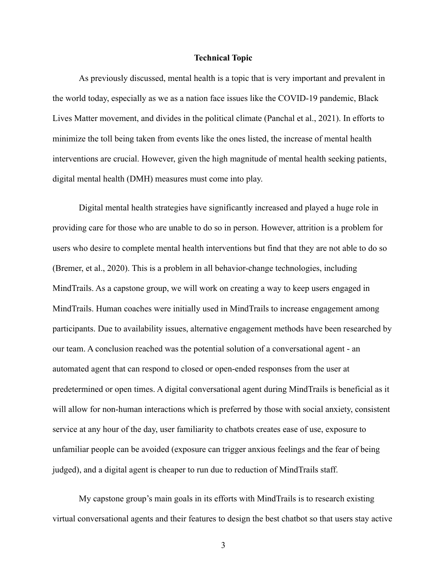#### **Technical Topic**

As previously discussed, mental health is a topic that is very important and prevalent in the world today, especially as we as a nation face issues like the COVID-19 pandemic, Black Lives Matter movement, and divides in the political climate (Panchal et al., 2021). In efforts to minimize the toll being taken from events like the ones listed, the increase of mental health interventions are crucial. However, given the high magnitude of mental health seeking patients, digital mental health (DMH) measures must come into play.

Digital mental health strategies have significantly increased and played a huge role in providing care for those who are unable to do so in person. However, attrition is a problem for users who desire to complete mental health interventions but find that they are not able to do so (Bremer, et al., 2020). This is a problem in all behavior-change technologies, including MindTrails. As a capstone group, we will work on creating a way to keep users engaged in MindTrails. Human coaches were initially used in MindTrails to increase engagement among participants. Due to availability issues, alternative engagement methods have been researched by our team. A conclusion reached was the potential solution of a conversational agent - an automated agent that can respond to closed or open-ended responses from the user at predetermined or open times. A digital conversational agent during MindTrails is beneficial as it will allow for non-human interactions which is preferred by those with social anxiety, consistent service at any hour of the day, user familiarity to chatbots creates ease of use, exposure to unfamiliar people can be avoided (exposure can trigger anxious feelings and the fear of being judged), and a digital agent is cheaper to run due to reduction of MindTrails staff.

My capstone group's main goals in its efforts with MindTrails is to research existing virtual conversational agents and their features to design the best chatbot so that users stay active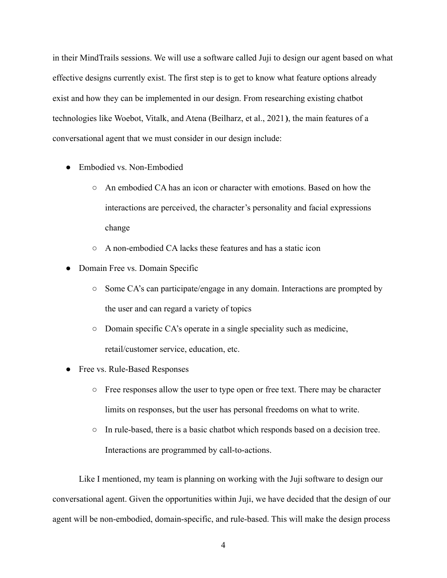in their MindTrails sessions. We will use a software called Juji to design our agent based on what effective designs currently exist. The first step is to get to know what feature options already exist and how they can be implemented in our design. From researching existing chatbot technologies like Woebot, Vitalk, and Atena (Beilharz, et al., 2021**)**, the main features of a conversational agent that we must consider in our design include:

- Embodied vs. Non-Embodied
	- An embodied CA has an icon or character with emotions. Based on how the interactions are perceived, the character's personality and facial expressions change
	- A non-embodied CA lacks these features and has a static icon
- Domain Free vs. Domain Specific
	- Some CA's can participate/engage in any domain. Interactions are prompted by the user and can regard a variety of topics
	- Domain specific CA's operate in a single speciality such as medicine, retail/customer service, education, etc.
- Free vs. Rule-Based Responses
	- Free responses allow the user to type open or free text. There may be character limits on responses, but the user has personal freedoms on what to write.
	- In rule-based, there is a basic chatbot which responds based on a decision tree. Interactions are programmed by call-to-actions.

Like I mentioned, my team is planning on working with the Juji software to design our conversational agent. Given the opportunities within Juji, we have decided that the design of our agent will be non-embodied, domain-specific, and rule-based. This will make the design process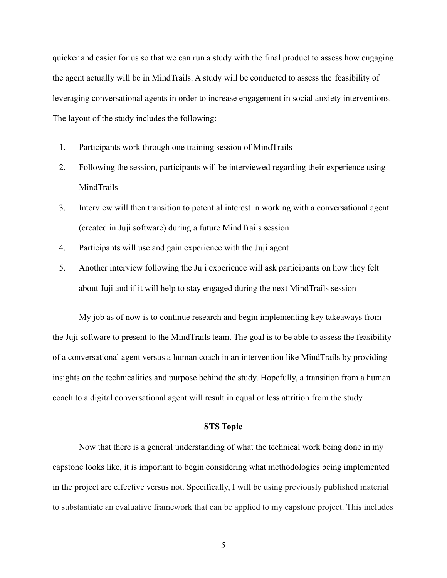quicker and easier for us so that we can run a study with the final product to assess how engaging the agent actually will be in MindTrails. A study will be conducted to assess the feasibility of leveraging conversational agents in order to increase engagement in social anxiety interventions. The layout of the study includes the following:

- 1. Participants work through one training session of MindTrails
- 2. Following the session, participants will be interviewed regarding their experience using MindTrails
- 3. Interview will then transition to potential interest in working with a conversational agent (created in Juji software) during a future MindTrails session
- 4. Participants will use and gain experience with the Juji agent
- 5. Another interview following the Juji experience will ask participants on how they felt about Juji and if it will help to stay engaged during the next MindTrails session

My job as of now is to continue research and begin implementing key takeaways from the Juji software to present to the MindTrails team. The goal is to be able to assess the feasibility of a conversational agent versus a human coach in an intervention like MindTrails by providing insights on the technicalities and purpose behind the study. Hopefully, a transition from a human coach to a digital conversational agent will result in equal or less attrition from the study.

#### **STS Topic**

Now that there is a general understanding of what the technical work being done in my capstone looks like, it is important to begin considering what methodologies being implemented in the project are effective versus not. Specifically, I will be using previously published material to substantiate an evaluative framework that can be applied to my capstone project. This includes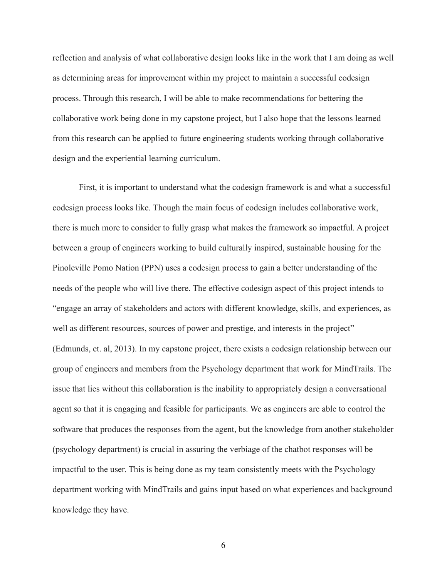reflection and analysis of what collaborative design looks like in the work that I am doing as well as determining areas for improvement within my project to maintain a successful codesign process. Through this research, I will be able to make recommendations for bettering the collaborative work being done in my capstone project, but I also hope that the lessons learned from this research can be applied to future engineering students working through collaborative design and the experiential learning curriculum.

First, it is important to understand what the codesign framework is and what a successful codesign process looks like. Though the main focus of codesign includes collaborative work, there is much more to consider to fully grasp what makes the framework so impactful. A project between a group of engineers working to build culturally inspired, sustainable housing for the Pinoleville Pomo Nation (PPN) uses a codesign process to gain a better understanding of the needs of the people who will live there. The effective codesign aspect of this project intends to "engage an array of stakeholders and actors with different knowledge, skills, and experiences, as well as different resources, sources of power and prestige, and interests in the project" (Edmunds, et. al, 2013). In my capstone project, there exists a codesign relationship between our group of engineers and members from the Psychology department that work for MindTrails. The issue that lies without this collaboration is the inability to appropriately design a conversational agent so that it is engaging and feasible for participants. We as engineers are able to control the software that produces the responses from the agent, but the knowledge from another stakeholder (psychology department) is crucial in assuring the verbiage of the chatbot responses will be impactful to the user. This is being done as my team consistently meets with the Psychology department working with MindTrails and gains input based on what experiences and background knowledge they have.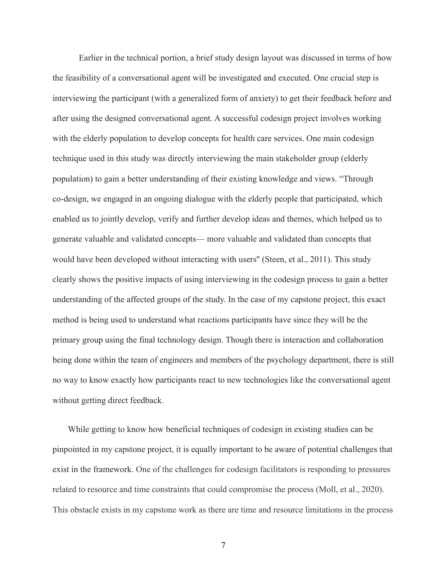Earlier in the technical portion, a brief study design layout was discussed in terms of how the feasibility of a conversational agent will be investigated and executed. One crucial step is interviewing the participant (with a generalized form of anxiety) to get their feedback before and after using the designed conversational agent. A successful codesign project involves working with the elderly population to develop concepts for health care services. One main codesign technique used in this study was directly interviewing the main stakeholder group (elderly population) to gain a better understanding of their existing knowledge and views. "Through co-design, we engaged in an ongoing dialogue with the elderly people that participated, which enabled us to jointly develop, verify and further develop ideas and themes, which helped us to generate valuable and validated concepts— more valuable and validated than concepts that would have been developed without interacting with users'' (Steen, et al., 2011). This study clearly shows the positive impacts of using interviewing in the codesign process to gain a better understanding of the affected groups of the study. In the case of my capstone project, this exact method is being used to understand what reactions participants have since they will be the primary group using the final technology design. Though there is interaction and collaboration being done within the team of engineers and members of the psychology department, there is still no way to know exactly how participants react to new technologies like the conversational agent without getting direct feedback.

While getting to know how beneficial techniques of codesign in existing studies can be pinpointed in my capstone project, it is equally important to be aware of potential challenges that exist in the framework. One of the challenges for codesign facilitators is responding to pressures related to resource and time constraints that could compromise the process (Moll, et al., 2020). This obstacle exists in my capstone work as there are time and resource limitations in the process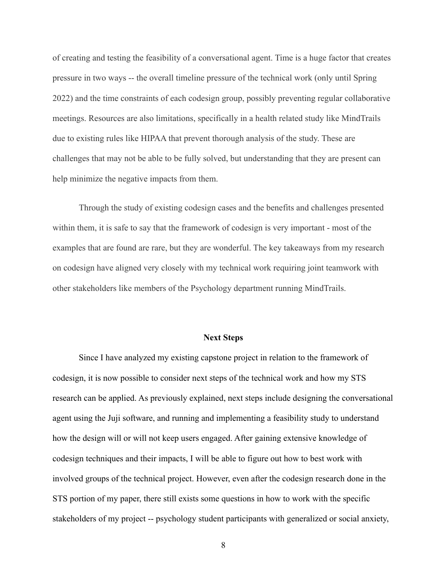of creating and testing the feasibility of a conversational agent. Time is a huge factor that creates pressure in two ways -- the overall timeline pressure of the technical work (only until Spring 2022) and the time constraints of each codesign group, possibly preventing regular collaborative meetings. Resources are also limitations, specifically in a health related study like MindTrails due to existing rules like HIPAA that prevent thorough analysis of the study. These are challenges that may not be able to be fully solved, but understanding that they are present can help minimize the negative impacts from them.

Through the study of existing codesign cases and the benefits and challenges presented within them, it is safe to say that the framework of codesign is very important - most of the examples that are found are rare, but they are wonderful. The key takeaways from my research on codesign have aligned very closely with my technical work requiring joint teamwork with other stakeholders like members of the Psychology department running MindTrails.

#### **Next Steps**

Since I have analyzed my existing capstone project in relation to the framework of codesign, it is now possible to consider next steps of the technical work and how my STS research can be applied. As previously explained, next steps include designing the conversational agent using the Juji software, and running and implementing a feasibility study to understand how the design will or will not keep users engaged. After gaining extensive knowledge of codesign techniques and their impacts, I will be able to figure out how to best work with involved groups of the technical project. However, even after the codesign research done in the STS portion of my paper, there still exists some questions in how to work with the specific stakeholders of my project -- psychology student participants with generalized or social anxiety,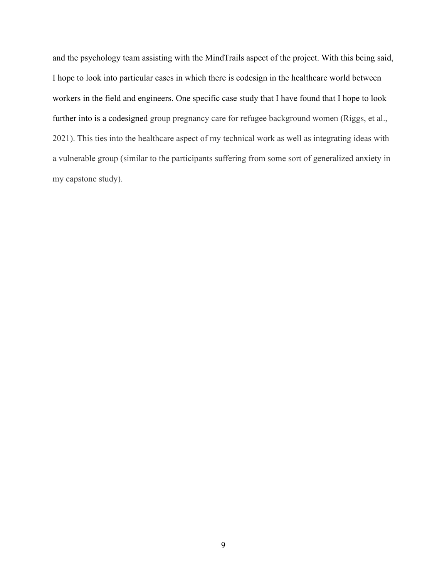and the psychology team assisting with the MindTrails aspect of the project. With this being said, I hope to look into particular cases in which there is codesign in the healthcare world between workers in the field and engineers. One specific case study that I have found that I hope to look further into is a codesigned group pregnancy care for refugee background women (Riggs, et al., 2021). This ties into the healthcare aspect of my technical work as well as integrating ideas with a vulnerable group (similar to the participants suffering from some sort of generalized anxiety in my capstone study).